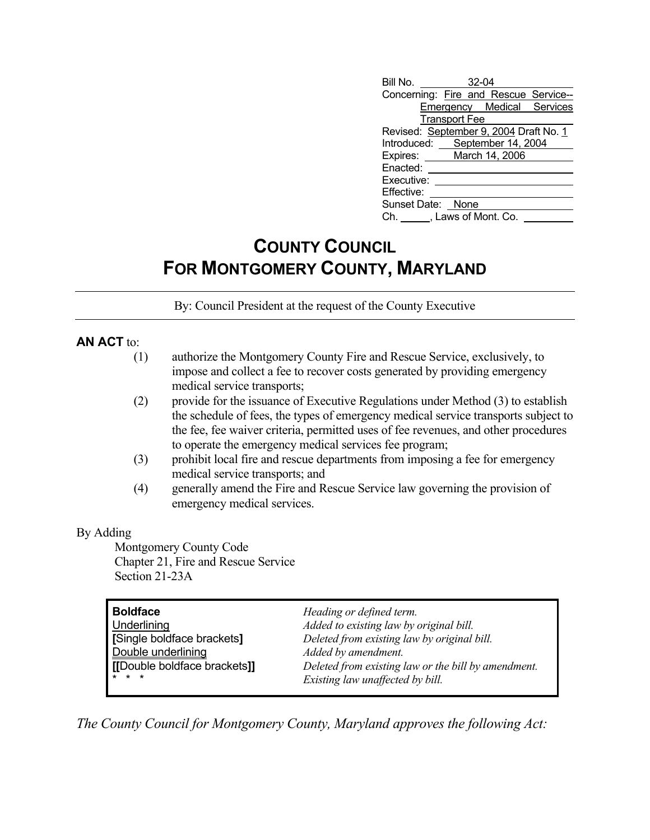| Revised: September 9, 2004 Draft No. 1 |  |                                           |                                                                                                                                                       |  |  |
|----------------------------------------|--|-------------------------------------------|-------------------------------------------------------------------------------------------------------------------------------------------------------|--|--|
|                                        |  |                                           |                                                                                                                                                       |  |  |
|                                        |  |                                           |                                                                                                                                                       |  |  |
|                                        |  |                                           |                                                                                                                                                       |  |  |
|                                        |  |                                           |                                                                                                                                                       |  |  |
|                                        |  |                                           |                                                                                                                                                       |  |  |
|                                        |  |                                           |                                                                                                                                                       |  |  |
| Ch. , Laws of Mont. Co.                |  |                                           |                                                                                                                                                       |  |  |
|                                        |  | <b>Transport Fee</b><br>Sunset Date: None | $\frac{32-04}{2}$<br>Concerning: Fire and Rescue Service--<br>Emergency Medical Services<br>Introduced: September 14, 2004<br>Expires: March 14, 2006 |  |  |

## **COUNTY COUNCIL FOR MONTGOMERY COUNTY, MARYLAND**

By: Council President at the request of the County Executive

## **AN ACT** to:

|     | authorize the Montgomery County Fire and Rescue Service, exclusively, to          |
|-----|-----------------------------------------------------------------------------------|
|     | impose and collect a fee to recover costs generated by providing emergency        |
|     | medical service transports;                                                       |
| (2) | provide for the issuance of Executive Regulations under Method $(3)$ to establish |

- the schedule of fees, the types of emergency medical service transports subject to the fee, fee waiver criteria, permitted uses of fee revenues, and other procedures to operate the emergency medical services fee program;
- (3) prohibit local fire and rescue departments from imposing a fee for emergency medical service transports; and
- (4) generally amend the Fire and Rescue Service law governing the provision of emergency medical services.

## By Adding

 Montgomery County Code Chapter 21, Fire and Rescue Service Section 21-23A

| <b>Boldface</b>              | Heading or defined term.                            |
|------------------------------|-----------------------------------------------------|
| Underlining                  | Added to existing law by original bill.             |
| [Single boldface brackets]   | Deleted from existing law by original bill.         |
| Double underlining           | Added by amendment.                                 |
| [[Double boldface brackets]] | Deleted from existing law or the bill by amendment. |
| $* * *$                      | Existing law unaffected by bill.                    |

*The County Council for Montgomery County, Maryland approves the following Act:*